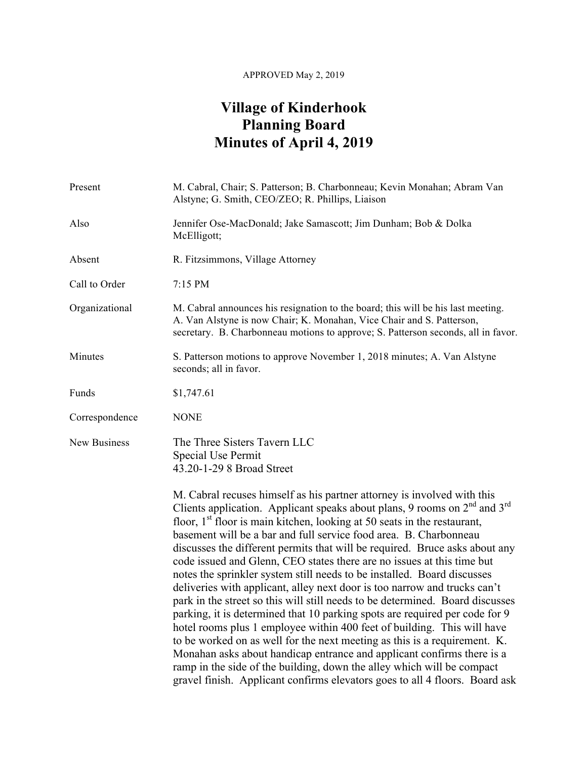## APPROVED May 2, 2019

## **Village of Kinderhook Planning Board Minutes of April 4, 2019**

| Present             | M. Cabral, Chair; S. Patterson; B. Charbonneau; Kevin Monahan; Abram Van<br>Alstyne; G. Smith, CEO/ZEO; R. Phillips, Liaison                                                                                                                                                                                                                                                                                                                                                                                                                                                                                                                                                                                                                                                                                                                                                                                                                                                                                                                                                                                                                                                            |
|---------------------|-----------------------------------------------------------------------------------------------------------------------------------------------------------------------------------------------------------------------------------------------------------------------------------------------------------------------------------------------------------------------------------------------------------------------------------------------------------------------------------------------------------------------------------------------------------------------------------------------------------------------------------------------------------------------------------------------------------------------------------------------------------------------------------------------------------------------------------------------------------------------------------------------------------------------------------------------------------------------------------------------------------------------------------------------------------------------------------------------------------------------------------------------------------------------------------------|
| Also                | Jennifer Ose-MacDonald; Jake Samascott; Jim Dunham; Bob & Dolka<br>McElligott;                                                                                                                                                                                                                                                                                                                                                                                                                                                                                                                                                                                                                                                                                                                                                                                                                                                                                                                                                                                                                                                                                                          |
| Absent              | R. Fitzsimmons, Village Attorney                                                                                                                                                                                                                                                                                                                                                                                                                                                                                                                                                                                                                                                                                                                                                                                                                                                                                                                                                                                                                                                                                                                                                        |
| Call to Order       | 7:15 PM                                                                                                                                                                                                                                                                                                                                                                                                                                                                                                                                                                                                                                                                                                                                                                                                                                                                                                                                                                                                                                                                                                                                                                                 |
| Organizational      | M. Cabral announces his resignation to the board; this will be his last meeting.<br>A. Van Alstyne is now Chair; K. Monahan, Vice Chair and S. Patterson,<br>secretary. B. Charbonneau motions to approve; S. Patterson seconds, all in favor.                                                                                                                                                                                                                                                                                                                                                                                                                                                                                                                                                                                                                                                                                                                                                                                                                                                                                                                                          |
| Minutes             | S. Patterson motions to approve November 1, 2018 minutes; A. Van Alstyne<br>seconds; all in favor.                                                                                                                                                                                                                                                                                                                                                                                                                                                                                                                                                                                                                                                                                                                                                                                                                                                                                                                                                                                                                                                                                      |
| Funds               | \$1,747.61                                                                                                                                                                                                                                                                                                                                                                                                                                                                                                                                                                                                                                                                                                                                                                                                                                                                                                                                                                                                                                                                                                                                                                              |
| Correspondence      | <b>NONE</b>                                                                                                                                                                                                                                                                                                                                                                                                                                                                                                                                                                                                                                                                                                                                                                                                                                                                                                                                                                                                                                                                                                                                                                             |
| <b>New Business</b> | The Three Sisters Tavern LLC<br>Special Use Permit<br>43.20-1-29 8 Broad Street                                                                                                                                                                                                                                                                                                                                                                                                                                                                                                                                                                                                                                                                                                                                                                                                                                                                                                                                                                                                                                                                                                         |
|                     | M. Cabral recuses himself as his partner attorney is involved with this<br>Clients application. Applicant speaks about plans, 9 rooms on $2nd$ and $3rd$<br>floor, $1st$ floor is main kitchen, looking at 50 seats in the restaurant,<br>basement will be a bar and full service food area. B. Charbonneau<br>discusses the different permits that will be required. Bruce asks about any<br>code issued and Glenn, CEO states there are no issues at this time but<br>notes the sprinkler system still needs to be installed. Board discusses<br>deliveries with applicant, alley next door is too narrow and trucks can't<br>park in the street so this will still needs to be determined. Board discusses<br>parking, it is determined that 10 parking spots are required per code for 9<br>hotel rooms plus 1 employee within 400 feet of building. This will have<br>to be worked on as well for the next meeting as this is a requirement. K.<br>Monahan asks about handicap entrance and applicant confirms there is a<br>ramp in the side of the building, down the alley which will be compact<br>gravel finish. Applicant confirms elevators goes to all 4 floors. Board ask |